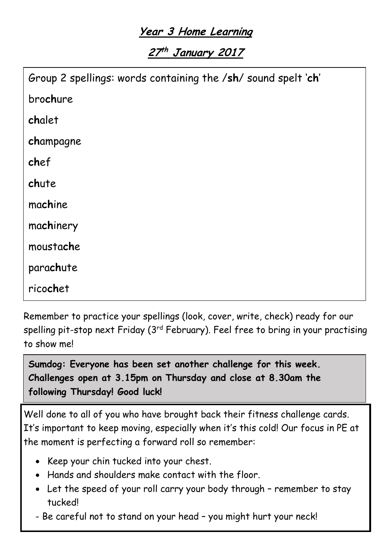## **Year 3 Home Learning**

**27 th January <sup>2017</sup>**

| Group 2 spellings: words containing the /sh/ sound spelt 'ch' |
|---------------------------------------------------------------|
| brochure                                                      |
| chalet                                                        |
| champagne                                                     |
| chef                                                          |
| chute                                                         |
| machine                                                       |
| machinery                                                     |
| moustache                                                     |
| parachute                                                     |
| ricochet                                                      |

Remember to practice your spellings (look, cover, write, check) ready for our spelling pit-stop next Friday (3 $^{\rm rd}$  February). Feel free to bring in your practising to show me!

**Sumdog: Everyone has been set another challenge for this week. Challenges open at 3.15pm on Thursday and close at 8.30am the following Thursday! Good luck!**

Well done to all of you who have brought back their fitness challenge cards. It's important to keep moving, especially when it's this cold! Our focus in PE at the moment is perfecting a forward roll so remember:

- Keep your chin tucked into your chest.
- Hands and shoulders make contact with the floor.
- Let the speed of your roll carry your body through remember to stay tucked!
- Be careful not to stand on your head you might hurt your neck!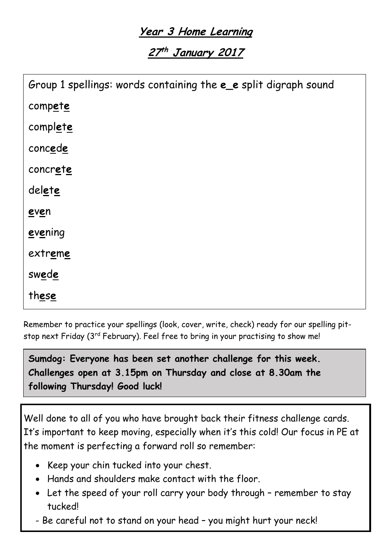## **Year 3 Home Learning**

**27 th January 2017**

| Group 1 spellings: words containing the eee split digraph sound |
|-----------------------------------------------------------------|
| compete                                                         |
| complete                                                        |
| concede                                                         |
| concrete                                                        |
| delete                                                          |
| even                                                            |
| evening                                                         |
| extreme                                                         |
| swede                                                           |
| these                                                           |

Remember to practice your spellings (look, cover, write, check) ready for our spelling pitstop next Friday (3<sup>rd</sup> February). Feel free to bring in your practising to show me!

**Sumdog: Everyone has been set another challenge for this week. Challenges open at 3.15pm on Thursday and close at 8.30am the following Thursday! Good luck!**

Well done to all of you who have brought back their fitness challenge cards. It's important to keep moving, especially when it's this cold! Our focus in PE at the moment is perfecting a forward roll so remember:

- Keep your chin tucked into your chest.
- Hands and shoulders make contact with the floor.
- Let the speed of your roll carry your body through remember to stay tucked!
- Be careful not to stand on your head you might hurt your neck!